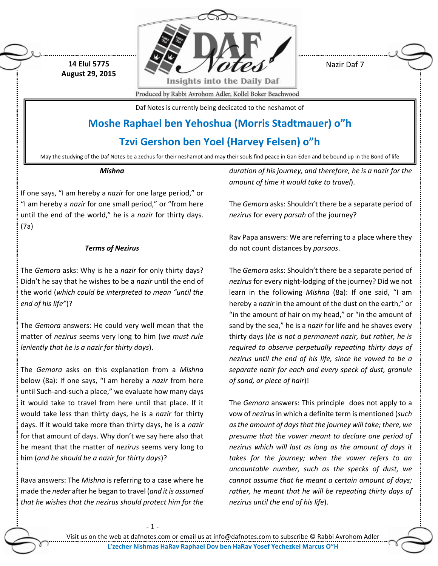

Nazir Daf 7

Produced by Rabbi Avrohom Adler, Kollel Boker Beachwood

Daf Notes is currently being dedicated to the neshamot of

## **Moshe Raphael ben Yehoshua (Morris Stadtmauer) o"h**

**Tzvi Gershon ben Yoel (Harvey Felsen) o"h**

May the studying of the Daf Notes be a zechus for their neshamot and may their souls find peace in Gan Eden and be bound up in the Bond of life

#### *Mishna*

**14 Elul 5775 August 29, 2015**

If one says, "I am hereby a *nazir* for one large period," or "I am hereby a *nazir* for one small period," or "from here until the end of the world," he is a *nazir* for thirty days. (7a)

## *Terms of Nezirus*

The *Gemora* asks: Why is he a *nazir* for only thirty days? Didn't he say that he wishes to be a *nazir* until the end of the world (*which could be interpreted to mean "until the end of his life"*)?

The *Gemora* answers: He could very well mean that the matter of *nezirus* seems very long to him (*we must rule leniently that he is a nazir for thirty days*).

The *Gemora* asks on this explanation from a *Mishna* below (8a): If one says, "I am hereby a *nazir* from here until Such-and-such a place," we evaluate how many days it would take to travel from here until that place. If it would take less than thirty days, he is a *nazir* for thirty days. If it would take more than thirty days, he is a *nazir* for that amount of days. Why don't we say here also that he meant that the matter of *nezirus* seems very long to him (*and he should be a nazir for thirty days*)?

Rava answers: The *Mishna* is referring to a case where he made the *neder* after he began to travel (*and it is assumed that he wishes that the nezirus should protect him for the*  *duration of his journey, and therefore, he is a nazir for the amount of time it would take to travel*).

The *Gemora* asks: Shouldn't there be a separate period of *nezirus* for every *parsah* of the journey?

Rav Papa answers: We are referring to a place where they do not count distances by *parsaos*.

The *Gemora* asks: Shouldn't there be a separate period of *nezirus* for every night-lodging of the journey? Did we not learn in the following *Mishna* (8a): If one said, "I am hereby a *nazir* in the amount of the dust on the earth," or "in the amount of hair on my head," or "in the amount of sand by the sea," he is a *nazir* for life and he shaves every thirty days (*he is not a permanent nazir, but rather, he is required to observe perpetually repeating thirty days of nezirus until the end of his life, since he vowed to be a separate nazir for each and every speck of dust, granule of sand, or piece of hair*)!

The *Gemora* answers: This principle does not apply to a vow of *nezirus*in which a definite term is mentioned (*such as the amount of days that the journey will take; there, we presume that the vower meant to declare one period of nezirus which will last as long as the amount of days it takes for the journey; when the vower refers to an uncountable number, such as the specks of dust, we cannot assume that he meant a certain amount of days; rather, he meant that he will be repeating thirty days of nezirus until the end of his life*).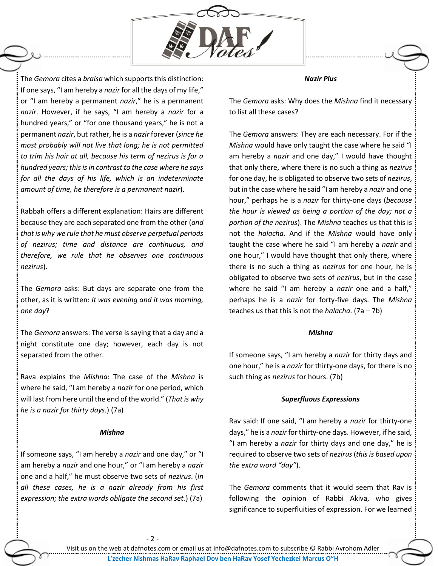

The *Gemora* cites a *braisa* which supports this distinction: If one says, "I am hereby a *nazir* for all the days of my life," or "I am hereby a permanent *nazir*," he is a permanent *nazir*. However, if he says, "I am hereby a *nazir* for a hundred years," or "for one thousand years," he is not a permanent *nazir*, but rather, he is a *nazir* forever (*since he most probably will not live that long; he is not permitted to trim his hair at all, because his term of nezirus is for a hundred years; this is in contrast to the case where he says for all the days of his life, which is an indeterminate amount of time, he therefore is a permanent nazir*).

Rabbah offers a different explanation: Hairs are different because they are each separated one from the other (*and that is why we rule that he must observe perpetual periods of nezirus; time and distance are continuous, and therefore, we rule that he observes one continuous nezirus*).

The *Gemora* asks: But days are separate one from the other, as it is written: *It was evening and it was morning, one day*?

The *Gemora* answers: The verse is saying that a day and a night constitute one day; however, each day is not separated from the other.

Rava explains the *Mishna*: The case of the *Mishna* is where he said, "I am hereby a *nazir* for one period, which will last from here until the end of the world." (*That is why he is a nazir for thirty days.*) (7a)

#### *Mishna*

If someone says, "I am hereby a *nazir* and one day," or "I am hereby a *nazir* and one hour," or "I am hereby a *nazir* one and a half," he must observe two sets of *nezirus*. (*In all these cases, he is a nazir already from his first expression; the extra words obligate the second set.*) (7a)

*Nazir Plus*

The *Gemora* asks: Why does the *Mishna* find it necessary to list all these cases?

The *Gemora* answers: They are each necessary. For if the *Mishna* would have only taught the case where he said "I am hereby a *nazir* and one day," I would have thought that only there, where there is no such a thing as *nezirus* for one day, he is obligated to observe two sets of *nezirus*, but in the case where he said "I am hereby a *nazir* and one hour," perhaps he is a *nazir* for thirty-one days (*because the hour is viewed as being a portion of the day; not a portion of the nezirus*). The *Mishna* teaches us that this is not the *halacha*. And if the *Mishna* would have only taught the case where he said "I am hereby a *nazir* and one hour," I would have thought that only there, where there is no such a thing as *nezirus* for one hour, he is obligated to observe two sets of *nezirus*, but in the case where he said "I am hereby a *nazir* one and a half," perhaps he is a *nazir* for forty-five days. The *Mishna* teaches us that this is not the *halacha*. (7a – 7b)

### *Mishna*

If someone says, "I am hereby a *nazir* for thirty days and one hour," he is a *nazir* for thirty-one days, for there is no such thing as *nezirus* for hours. (7b)

#### *Superfluous Expressions*

Rav said: If one said, "I am hereby a *nazir* for thirty-one days," he is a *nazir* for thirty-one days. However, if he said, "I am hereby a *nazir* for thirty days and one day," he is required to observe two sets of *nezirus* (*this is based upon the extra word "day"*).

The *Gemora* comments that it would seem that Rav is following the opinion of Rabbi Akiva, who gives significance to superfluities of expression. For we learned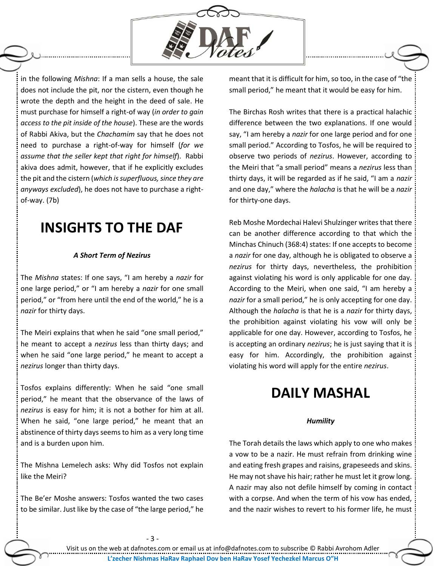

in the following *Mishna*: If a man sells a house, the sale does not include the pit, nor the cistern, even though he wrote the depth and the height in the deed of sale. He must purchase for himself a right-of way (*in order to gain access to the pit inside of the house*). These are the words of Rabbi Akiva, but the *Chachamim* say that he does not need to purchase a right-of-way for himself (*for we assume that the seller kept that right for himself*). Rabbi akiva does admit, however, that if he explicitly excludes the pit and the cistern (*which is superfluous, since they are anyways excluded*), he does not have to purchase a rightof-way. (7b)

## **INSIGHTS TO THE DAF**

## *A Short Term of Nezirus*

The *Mishna* states: If one says, "I am hereby a *nazir* for one large period," or "I am hereby a *nazir* for one small period," or "from here until the end of the world," he is a *nazir* for thirty days.

The Meiri explains that when he said "one small period," he meant to accept a *nezirus* less than thirty days; and when he said "one large period," he meant to accept a *nezirus* longer than thirty days.

Tosfos explains differently: When he said "one small period," he meant that the observance of the laws of *nezirus* is easy for him; it is not a bother for him at all. When he said, "one large period," he meant that an abstinence of thirty days seems to him as a very long time and is a burden upon him.

The Mishna Lemelech asks: Why did Tosfos not explain like the Meiri?

The Be'er Moshe answers: Tosfos wanted the two cases to be similar. Just like by the case of "the large period," he

meant that it is difficult for him, so too, in the case of "the small period," he meant that it would be easy for him.

The Birchas Rosh writes that there is a practical halachic difference between the two explanations. If one would say, "I am hereby a *nazir* for one large period and for one small period." According to Tosfos, he will be required to observe two periods of *nezirus*. However, according to the Meiri that "a small period" means a *nezirus* less than thirty days, it will be regarded as if he said, "I am a *nazir* and one day," where the *halacha* is that he will be a *nazir* for thirty-one days.

Reb Moshe Mordechai Halevi Shulzinger writes that there can be another difference according to that which the Minchas Chinuch (368:4) states: If one accepts to become a *nazir* for one day, although he is obligated to observe a *nezirus* for thirty days, nevertheless, the prohibition against violating his word is only applicable for one day. According to the Meiri, when one said, "I am hereby a *nazir* for a small period," he is only accepting for one day. Although the *halacha* is that he is a *nazir* for thirty days, the prohibition against violating his vow will only be applicable for one day. However, according to Tosfos, he is accepting an ordinary *nezirus*; he is just saying that it is easy for him. Accordingly, the prohibition against violating his word will apply for the entire *nezirus*.

# **DAILY MASHAL**

## *Humility*

The Torah details the laws which apply to one who makes a vow to be a nazir. He must refrain from drinking wine and eating fresh grapes and raisins, grapeseeds and skins. He may not shave his hair; rather he must let it grow long. A nazir may also not defile himself by coming in contact with a corpse. And when the term of his vow has ended, and the nazir wishes to revert to his former life, he must